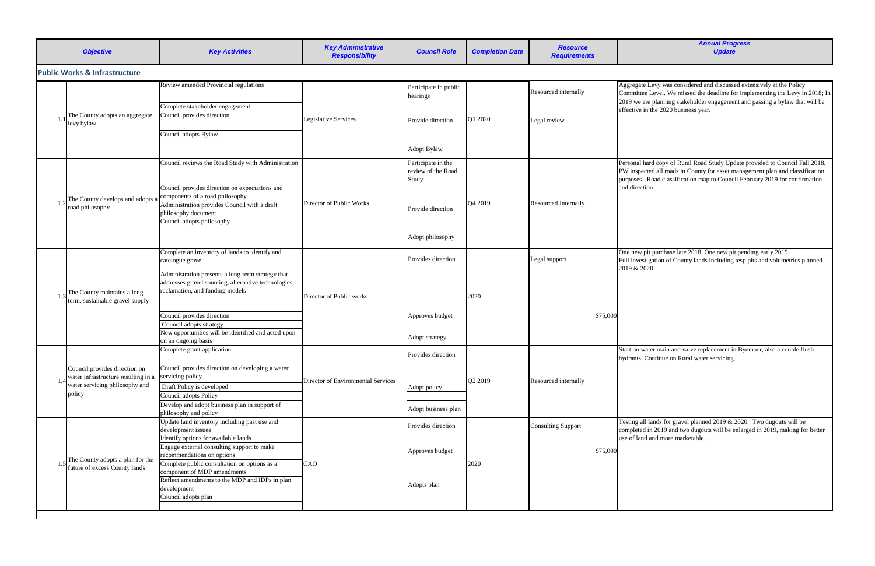|  | <b>Objective</b>                                                      | <b>Key Activities</b>                                                                                                                        | <b>Key Administrative</b><br><b>Responsibility</b> | <b>Council Role</b>                               | <b>Completion Date</b> | <b>Resource</b><br><b>Requirements</b> |                                     |
|--|-----------------------------------------------------------------------|----------------------------------------------------------------------------------------------------------------------------------------------|----------------------------------------------------|---------------------------------------------------|------------------------|----------------------------------------|-------------------------------------|
|  | <b>Public Works &amp; Infrastructure</b>                              |                                                                                                                                              |                                                    |                                                   |                        |                                        |                                     |
|  |                                                                       | Review amended Provincial regulations                                                                                                        |                                                    | Participate in public<br>hearings                 |                        | Resourced internally                   | Aggregat<br>Committe                |
|  |                                                                       | Complete stakeholder engagement                                                                                                              |                                                    |                                                   |                        |                                        | 2019 we a<br>effective              |
|  | The County adopts an aggregate<br>levy bylaw                          | Council provides direction                                                                                                                   | <b>Legislative Services</b>                        | Provide direction                                 | Q1 2020                | Legal review                           |                                     |
|  |                                                                       | Council adopts Bylaw                                                                                                                         |                                                    |                                                   |                        |                                        |                                     |
|  |                                                                       |                                                                                                                                              |                                                    | <b>Adopt Bylaw</b>                                |                        |                                        |                                     |
|  |                                                                       | Council reviews the Road Study with Administration                                                                                           |                                                    | Participate in the<br>review of the Road<br>Study |                        |                                        | Personal 1<br>PW inspe<br>purposes. |
|  |                                                                       | Council provides direction on expectations and                                                                                               |                                                    |                                                   |                        |                                        | and direct                          |
|  | The County develops and adopts a                                      | components of a road philosophy                                                                                                              | Director of Public Works                           |                                                   | Q4 2019                | <b>Resourced Internally</b>            |                                     |
|  | road philosophy                                                       | Administration provides Council with a draft<br>philosophy document<br>Council adopts philosophy                                             |                                                    | Provide direction                                 |                        |                                        |                                     |
|  |                                                                       |                                                                                                                                              |                                                    | Adopt philosophy                                  |                        |                                        |                                     |
|  |                                                                       | Complete an inventory of lands to identify and<br>catelogue gravel                                                                           |                                                    | Provides direction                                |                        | Legal support                          | One new<br>Full inves               |
|  | The County maintains a long-<br>term, sustainable gravel supply       | Administration presents a long-term strategy that<br>addresses gravel sourcing, alternative technologies,<br>reclamation, and funding models | Director of Public works                           |                                                   | 2020                   |                                        | 2019 & 2                            |
|  |                                                                       |                                                                                                                                              |                                                    |                                                   |                        |                                        |                                     |
|  |                                                                       | Council provides direction                                                                                                                   |                                                    | Approves budget                                   |                        |                                        | \$75,000                            |
|  |                                                                       | Council adopts strategy                                                                                                                      |                                                    |                                                   |                        |                                        |                                     |
|  |                                                                       | New opportunities will be identified and acted upon                                                                                          |                                                    | Adopt strategy                                    |                        |                                        |                                     |
|  |                                                                       | on an ongoing basis                                                                                                                          |                                                    |                                                   |                        |                                        |                                     |
|  |                                                                       | Complete grant application                                                                                                                   |                                                    | Provides direction                                |                        |                                        | Start on w<br>hydrants.             |
|  | Council provides direction on                                         | Council provides direction on developing a water<br>servicing policy                                                                         |                                                    |                                                   |                        |                                        |                                     |
|  | water infrastructure resulting in a<br>water servicing philosophy and | Draft Policy is developed                                                                                                                    | Director of Environmental Services                 |                                                   | Q2 2019                | Resourced internally                   |                                     |
|  | policy                                                                | Council adopts Policy                                                                                                                        |                                                    | Adopt policy                                      |                        |                                        |                                     |
|  |                                                                       | Develop and adopt business plan in support of<br>philosophy and policy                                                                       |                                                    | Adopt business plan                               |                        |                                        |                                     |
|  |                                                                       | Update land inventory including past use and                                                                                                 |                                                    | Provides direction                                |                        |                                        | Testing a                           |
|  |                                                                       | development issues                                                                                                                           |                                                    |                                                   |                        | <b>Consulting Support</b>              | complete                            |
|  |                                                                       | Identify options for available lands                                                                                                         |                                                    |                                                   |                        |                                        | use of lan                          |
|  |                                                                       | Engage external consulting support to make<br>recommendations on options                                                                     | CAO                                                | Approves budget                                   |                        |                                        | \$75,000                            |
|  | The County adopts a plan for the<br>future of excess County lands     | Complete public consultation on options as a                                                                                                 |                                                    |                                                   | 2020                   |                                        |                                     |
|  |                                                                       | component of MDP amendments                                                                                                                  |                                                    |                                                   |                        |                                        |                                     |
|  |                                                                       | Reflect amendments to the MDP and IDPs in plan<br>development                                                                                |                                                    | Adopts plan                                       |                        |                                        |                                     |
|  |                                                                       | Council adopts plan                                                                                                                          |                                                    |                                                   |                        |                                        |                                     |
|  |                                                                       |                                                                                                                                              |                                                    |                                                   |                        |                                        |                                     |

*Annual Progress Update*

te Levy was considered and discussed extensively at the Policy ee Level. We missed the deadline for implementing the Levy in 2018; In are planning stakeholder engagement and passing a bylaw that will be in the 2020 business year.

hard copy of Rural Road Study Update provided to Council Fall 2018. ected all roads in County for asset management plan and classification Road classification map to Council February 2019 for confirmation tion.

pit purchase late 2018. One new pit pending early 2019. stigation of County lands including tesp pits and volumetrics planned  $2020.$ 

water main and valve replacement in Byemoor, also a couple flush . Continue on Rural water servicing.

all lands for gravel planned 2019  $& 2020$ . Two dugouts will be ed in 2019 and two dugouts will be enlarged in 2019, making for better nd and more marketable.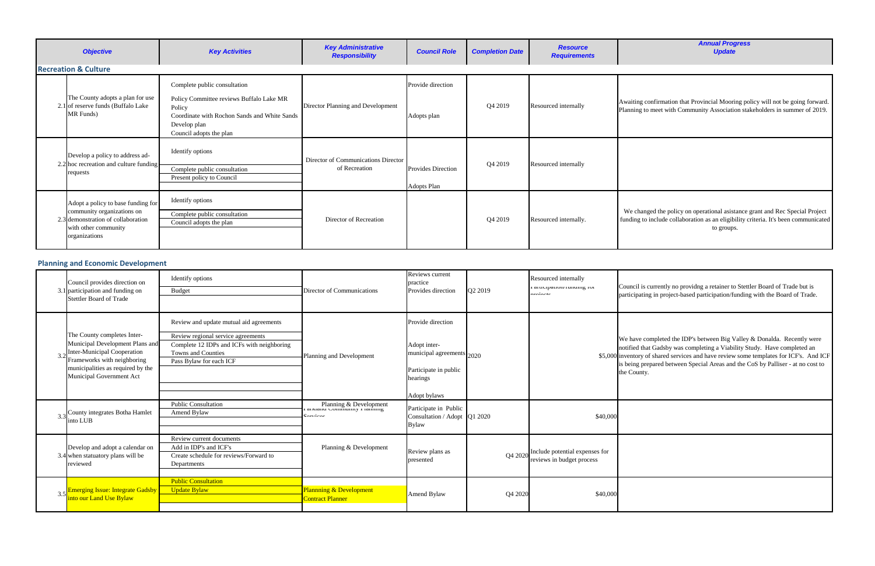confirmation that Provincial Mooring policy will not be going forward. to meet with Community Association stakeholders in summer of 2019.

nged the policy on operational asistance grant and Rec Special Project to include collaboration as an eligibility criteria. It's been communicated to groups.

is currently no providng a retainer to Stettler Board of Trade but is ting in project-based participation/funding with the Board of Trade.

completed the IDP's between Big Valley  $\&$  Donalda. Recently were that Gadsby was completing a Viability Study. Have completed an of shared services and have review some templates for ICF's. And ICF brepared between Special Areas and the CoS by Palliser - at no cost to ity.

| <b>Objective</b>                                                                                                                                | <b>Key Activities</b>                                                                                                                         | <b>Key Administrative</b><br><b>Responsibility</b>   | <b>Council Role</b>                             | <b>Completion Date</b> | <b>Resource</b><br><b>Requirements</b> |                      |
|-------------------------------------------------------------------------------------------------------------------------------------------------|-----------------------------------------------------------------------------------------------------------------------------------------------|------------------------------------------------------|-------------------------------------------------|------------------------|----------------------------------------|----------------------|
| <b>Recreation &amp; Culture</b>                                                                                                                 |                                                                                                                                               |                                                      |                                                 |                        |                                        |                      |
|                                                                                                                                                 | Complete public consultation                                                                                                                  |                                                      | Provide direction                               |                        |                                        |                      |
| The County adopts a plan for use<br>2.1 of reserve funds (Buffalo Lake<br>MR Funds)                                                             | Policy Committee reviews Buffalo Lake MR<br>Policy<br>Coordinate with Rochon Sands and White Sands<br>Develop plan<br>Council adopts the plan | Director Planning and Development                    | Adopts plan                                     | Q4 2019                | Resourced internally                   | Awaiting<br>Planning |
| Develop a policy to address ad-<br>2.2 hoc recreation and culture funding<br>requests                                                           | Identify options<br>Complete public consultation<br>Present policy to Council                                                                 | Director of Communications Director<br>of Recreation | <b>Provides Direction</b><br><b>Adopts Plan</b> | Q4 2019                | Resourced internally                   |                      |
| Adopt a policy to base funding for<br>community organizations on<br>2.3 demonstration of collaboration<br>with other community<br>organizations | Identify options<br>Complete public consultation<br>Council adopts the plan                                                                   | Director of Recreation                               |                                                 | Q4 2019                | Resourced internally.                  | We chai<br>funding t |

| Council provides direction on<br>3.1 participation and funding on<br><b>Stettler Board of Trade</b>                                                                                                  | Identify options<br><b>Budget</b>                                                                                                                                            | Director of Communications                                                    | Reviews current<br>practice<br>Provides direction                                                                   | Q2 2019 | Resourced internally<br>ranucipation/runding for<br>:               | Council i:<br>participat                                               |
|------------------------------------------------------------------------------------------------------------------------------------------------------------------------------------------------------|------------------------------------------------------------------------------------------------------------------------------------------------------------------------------|-------------------------------------------------------------------------------|---------------------------------------------------------------------------------------------------------------------|---------|---------------------------------------------------------------------|------------------------------------------------------------------------|
| The County completes Inter-<br>Municipal Development Plans and<br><b>Inter-Municipal Cooperation</b><br>Frameworks with neighboring<br>municipalities as required by the<br>Municipal Government Act | Review and update mutual aid agreements<br>Review regional service agreements<br>Complete 12 IDPs and ICFs with neighboring<br>Towns and Counties<br>Pass Bylaw for each ICF | Planning and Development                                                      | Provide direction<br>Adopt inter-<br>municipal agreements 2020<br>Participate in public<br>hearings<br>Adopt bylaws |         |                                                                     | We have<br>notified tl<br>\$5,000 inventory<br>is being p<br>the Count |
| County integrates Botha Hamlet<br>into LUB                                                                                                                                                           | <b>Public Consultation</b><br>Amend Bylaw                                                                                                                                    | Planning & Development<br>Farkrand Community Framing<br>C <sub>equation</sub> | Participate in Public<br>Consultation / Adopt Q1 2020<br><b>Bylaw</b>                                               |         | \$40,000                                                            |                                                                        |
| Develop and adopt a calendar on<br>3.4 when statuatory plans will be<br>reviewed                                                                                                                     | Review current documents<br>Add in IDP's and ICF's<br>Create schedule for reviews/Forward to<br>Departments                                                                  | Planning & Development                                                        | Review plans as<br>presented                                                                                        |         | Q4 2020 Include potential expenses for<br>reviews in budget process |                                                                        |
| 3.5 Emerging Issue: Integrate Gadsby<br>into our Land Use Bylaw                                                                                                                                      | <b>Public Consultation</b><br><b>Update Bylaw</b>                                                                                                                            | <b>Plannning &amp; Development</b><br><b>Contract Planner</b>                 | Amend Bylaw                                                                                                         | Q4 2020 | \$40,000                                                            |                                                                        |

## **Planning and Economic Development**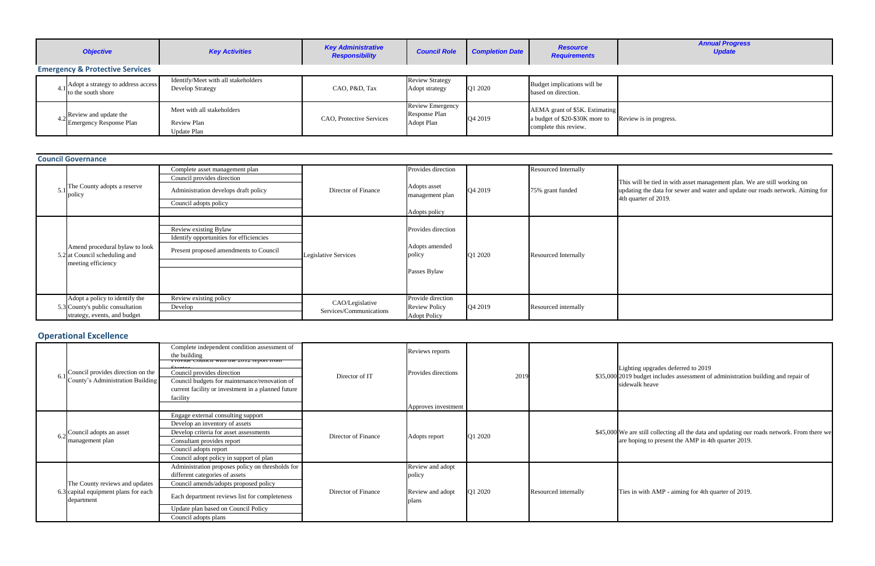

s in progress.

I be tied in with asset management plan. We are still working on the data for sewer and water and update our roads network. Aiming for ter of 2019.

upgrades deferred to 2019 dget includes assessment of administration building and repair of heave

till collecting all the data and updating our roads network. From there we ing to present the AMP in 4th quarter 2019.

with  $AMP -$  aiming for 4th quarter of 2019.

| <b>Objective</b><br><b>Key Activities</b> |                                                               | <b>Key Administrative</b><br><b>Responsibility</b>       | <b>Council Role</b>      | <b>Completion Date</b>                                               | <b>Resource</b><br><b>Requirements</b> |                                                                                           |           |
|-------------------------------------------|---------------------------------------------------------------|----------------------------------------------------------|--------------------------|----------------------------------------------------------------------|----------------------------------------|-------------------------------------------------------------------------------------------|-----------|
|                                           | <b>Emergency &amp; Protective Services</b>                    |                                                          |                          |                                                                      |                                        |                                                                                           |           |
|                                           | 4.1 Adopt a strategy to address access<br>to the south shore  | Identify/Meet with all stakeholders<br>Develop Strategy  | CAO, P&D, Tax            | <b>Review Strategy</b><br>Adopt strategy                             | O1 2020                                | Budget implications will be<br>based on direction.                                        |           |
|                                           | $4.2$ Review and update the<br><b>Emergency Response Plan</b> | Meet with all stakeholders<br>Review Plan<br>Update Plan | CAO, Protective Services | <b>Review Emergency</b><br><b>Response Plan</b><br><b>Adopt Plan</b> | Q4 2019                                | AEMA grant of \$5K. Estimating<br>a budget of \$20-\$30K more to<br>complete this review. | Review is |

| <b>Council Governance</b>                                                                          |                                                                                                                               |                                            |                                                                        |         |                                          |                                     |
|----------------------------------------------------------------------------------------------------|-------------------------------------------------------------------------------------------------------------------------------|--------------------------------------------|------------------------------------------------------------------------|---------|------------------------------------------|-------------------------------------|
| $5.1$ The County adopts a reserve<br>policy                                                        | Complete asset management plan<br>Council provides direction<br>Administration develops draft policy<br>Council adopts policy | Director of Finance                        | Provides direction<br>Adopts asset<br>management plan<br>Adopts policy | Q4 2019 | Resourced Internally<br>75% grant funded | This will<br>updating<br>4th quarte |
| Amend procedural bylaw to look<br>5.2 at Council scheduling and<br>meeting efficiency              | Review existing Bylaw<br>Identify opportunities for efficiencies<br>Present proposed amendments to Council                    | Legislative Services                       | Provides direction<br>Adopts amended<br>policy<br>Passes Bylaw         | Q1 2020 | <b>Resourced Internally</b>              |                                     |
| Adopt a policy to identify the<br>5.3 County's public consultation<br>strategy, events, and budget | Review existing policy<br>Develop                                                                                             | CAO/Legislative<br>Services/Communications | Provide direction<br><b>Review Policy</b><br><b>Adopt Policy</b>       | Q4 2019 | Resourced internally                     |                                     |

| Council provides direction on the<br>County's Administration Building                | Complete independent condition assessment of<br>the building<br><u>FIOVIGE COUNCIL WINH THE 2012 TEPOIT HOME</u><br>Council provides direction<br>Council budgets for maintenance/renovation of<br>current facility or investment in a planned future<br>facility | Director of IT      | Reviews reports<br>Provides directions<br>Approves investment | 2019    |                      | ighting<br>\$35,000 2019 bud<br>sidewalk |
|--------------------------------------------------------------------------------------|-------------------------------------------------------------------------------------------------------------------------------------------------------------------------------------------------------------------------------------------------------------------|---------------------|---------------------------------------------------------------|---------|----------------------|------------------------------------------|
| Council adopts an asset<br>management plan                                           | Engage external consulting support<br>Develop an inventory of assets<br>Develop criteria for asset assessments<br>Consultant provides report<br>Council adopts report<br>Council adopt policy in support of plan                                                  | Director of Finance | Adopts report                                                 | Q1 2020 |                      | \$45,000 We are st<br>are hopin          |
| The County reviews and updates<br>6.3 capital equipment plans for each<br>department | Administration proposes policy on thresholds for<br>different categories of assets<br>Council amends/adopts proposed policy<br>Each department reviews list for completeness<br>Update plan based on Council Policy<br>Council adopts plans                       | Director of Finance | Review and adopt<br>policy<br>Review and adopt<br>plans       | Q1 2020 | Resourced internally | Ties in w                                |

## **Operational Excellence**